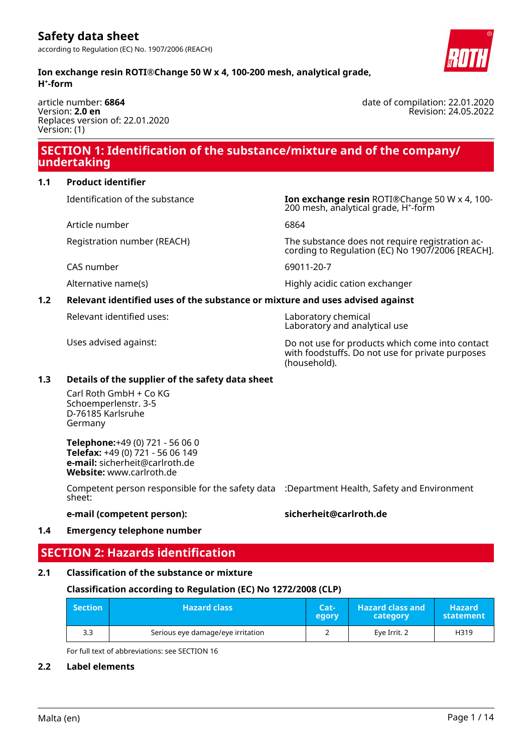

article number: **6864** Version: **2.0 en** Replaces version of: 22.01.2020 Version: (1)

### **SECTION 1: Identification of the substance/mixture and of the company/ undertaking**

#### **1.1 Product identifier**

Identification of the substance **Ion exchange resin** ROTI®Change 50 W x 4, 100-

Article number 6864

CAS number 69011-20-7

200 mesh, analytical grade, H<sup>+</sup>-form

Registration number (REACH) The substance does not require registration according to Regulation (EC) No 1907/2006 [REACH].

Alternative name(s) extends the Highly acidic cation exchanger

### **1.2 Relevant identified uses of the substance or mixture and uses advised against**

Relevant identified uses: Laboratory chemical

Laboratory and analytical use

Uses advised against: Do not use for products which come into contact with foodstuffs. Do not use for private purposes (household).

### **1.3 Details of the supplier of the safety data sheet**

Carl Roth GmbH + Co KG Schoemperlenstr. 3-5 D-76185 Karlsruhe Germany

**Telephone:**+49 (0) 721 - 56 06 0 **Telefax:** +49 (0) 721 - 56 06 149 **e-mail:** sicherheit@carlroth.de **Website:** www.carlroth.de

Competent person responsible for the safety data :Department Health, Safety and Environment sheet:

**e-mail (competent person): sicherheit@carlroth.de**

### **1.4 Emergency telephone number**

## **SECTION 2: Hazards identification**

### **2.1 Classification of the substance or mixture**

### **Classification according to Regulation (EC) No 1272/2008 (CLP)**

| <b>Section</b> | <b>Hazard class</b>               | Cat-<br>egory | <b>Hazard class and</b><br>category | <b>Hazard</b><br>statement |
|----------------|-----------------------------------|---------------|-------------------------------------|----------------------------|
| 3.3            | Serious eye damage/eye irritation |               | Eye Irrit. 2                        | H319                       |

For full text of abbreviations: see SECTION 16

### **2.2 Label elements**

date of compilation: 22.01.2020 Revision: 24.05.2022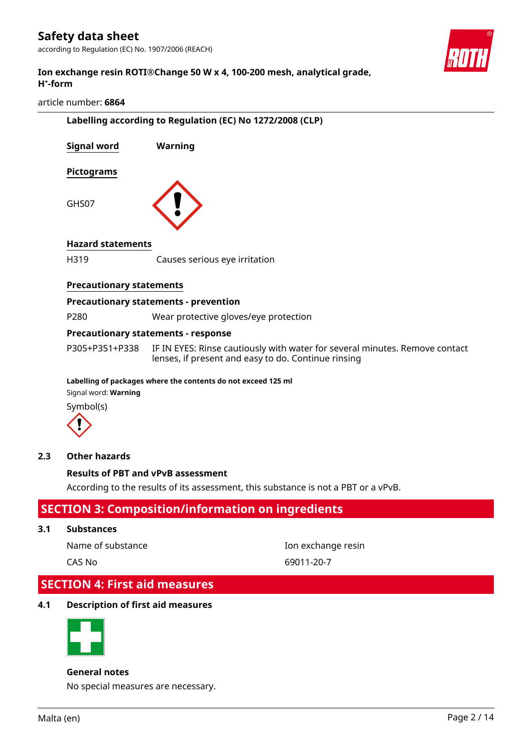according to Regulation (EC) No. 1907/2006 (REACH)



#### **Ion exchange resin ROTI®Change 50 W x 4, 100-200 mesh, analytical grade, H⁺-form**

#### article number: **6864**

| Labelling according to Regulation (EC) No 1272/2008 (CLP) |                                                                                                                                    |  |  |  |
|-----------------------------------------------------------|------------------------------------------------------------------------------------------------------------------------------------|--|--|--|
| <b>Signal word</b>                                        | Warning                                                                                                                            |  |  |  |
| Pictograms                                                |                                                                                                                                    |  |  |  |
| GHS07                                                     |                                                                                                                                    |  |  |  |
| <b>Hazard statements</b>                                  |                                                                                                                                    |  |  |  |
| H319                                                      | Causes serious eye irritation                                                                                                      |  |  |  |
| <b>Precautionary statements</b>                           |                                                                                                                                    |  |  |  |
|                                                           | <b>Precautionary statements - prevention</b>                                                                                       |  |  |  |
| P280                                                      | Wear protective gloves/eye protection                                                                                              |  |  |  |
|                                                           | <b>Precautionary statements - response</b>                                                                                         |  |  |  |
| P305+P351+P338                                            | IF IN EYES: Rinse cautiously with water for several minutes. Remove contact<br>lenses, if present and easy to do. Continue rinsing |  |  |  |
|                                                           | Labelling of packages where the contents do not exceed 125 ml                                                                      |  |  |  |
| Signal word: Warning                                      |                                                                                                                                    |  |  |  |
| Symbol(s)                                                 |                                                                                                                                    |  |  |  |
|                                                           |                                                                                                                                    |  |  |  |

#### **2.3 Other hazards**

#### **Results of PBT and vPvB assessment**

According to the results of its assessment, this substance is not a PBT or a vPvB.

### **SECTION 3: Composition/information on ingredients**

#### **3.1 Substances**

Name of substance **Ion exchange resin** 

CAS No 69011-20-7

### **SECTION 4: First aid measures**

#### **4.1 Description of first aid measures**



#### **General notes**

No special measures are necessary.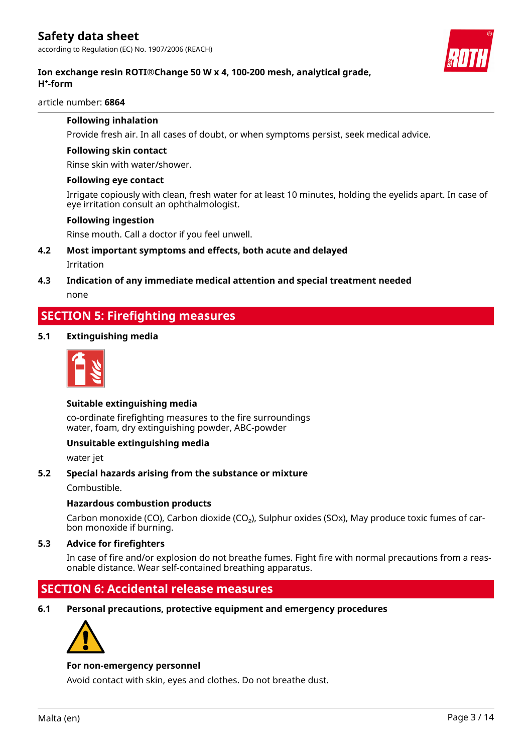

### **Ion exchange resin ROTI®Change 50 W x 4, 100-200 mesh, analytical grade, H⁺-form**

article number: **6864**

#### **Following inhalation**

Provide fresh air. In all cases of doubt, or when symptoms persist, seek medical advice.

#### **Following skin contact**

Rinse skin with water/shower.

#### **Following eye contact**

Irrigate copiously with clean, fresh water for at least 10 minutes, holding the eyelids apart. In case of eye irritation consult an ophthalmologist.

#### **Following ingestion**

Rinse mouth. Call a doctor if you feel unwell.

- **4.2 Most important symptoms and effects, both acute and delayed** Irritation
- **4.3 Indication of any immediate medical attention and special treatment needed** none

### **SECTION 5: Firefighting measures**

#### **5.1 Extinguishing media**



#### **Suitable extinguishing media**

co-ordinate firefighting measures to the fire surroundings water, foam, dry extinguishing powder, ABC-powder

#### **Unsuitable extinguishing media**

water jet

#### **5.2 Special hazards arising from the substance or mixture**

Combustible.

#### **Hazardous combustion products**

Carbon monoxide (CO), Carbon dioxide (CO<sub>2</sub>), Sulphur oxides (SOx), May produce toxic fumes of carbon monoxide if burning.

#### **5.3 Advice for firefighters**

In case of fire and/or explosion do not breathe fumes. Fight fire with normal precautions from a reasonable distance. Wear self-contained breathing apparatus.

### **SECTION 6: Accidental release measures**

**6.1 Personal precautions, protective equipment and emergency procedures**



#### **For non-emergency personnel**

Avoid contact with skin, eyes and clothes. Do not breathe dust.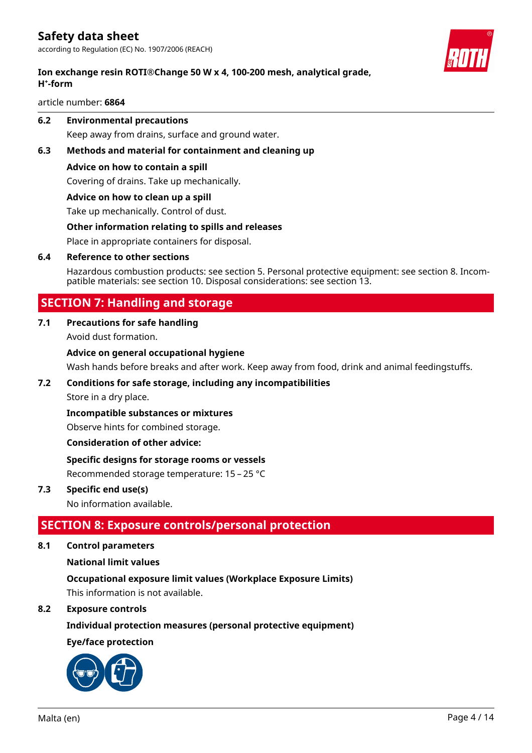### **Ion exchange resin ROTI®Change 50 W x 4, 100-200 mesh, analytical grade, H⁺-form**

article number: **6864**

**6.2 Environmental precautions**

Keep away from drains, surface and ground water.

#### **6.3 Methods and material for containment and cleaning up**

#### **Advice on how to contain a spill**

Covering of drains. Take up mechanically.

#### **Advice on how to clean up a spill**

Take up mechanically. Control of dust.

#### **Other information relating to spills and releases**

Place in appropriate containers for disposal.

#### **6.4 Reference to other sections**

Hazardous combustion products: see section 5. Personal protective equipment: see section 8. Incompatible materials: see section 10. Disposal considerations: see section 13.

### **SECTION 7: Handling and storage**

#### **7.1 Precautions for safe handling**

Avoid dust formation.

#### **Advice on general occupational hygiene**

Wash hands before breaks and after work. Keep away from food, drink and animal feedingstuffs.

#### **7.2 Conditions for safe storage, including any incompatibilities**

Store in a dry place.

#### **Incompatible substances or mixtures**

Observe hints for combined storage.

#### **Consideration of other advice:**

#### **Specific designs for storage rooms or vessels**

Recommended storage temperature: 15 – 25 °C

#### **7.3 Specific end use(s)**

No information available.

### **SECTION 8: Exposure controls/personal protection**

**8.1 Control parameters**

#### **National limit values**

#### **Occupational exposure limit values (Workplace Exposure Limits)**

This information is not available.

#### **8.2 Exposure controls**

#### **Individual protection measures (personal protective equipment)**

#### **Eye/face protection**



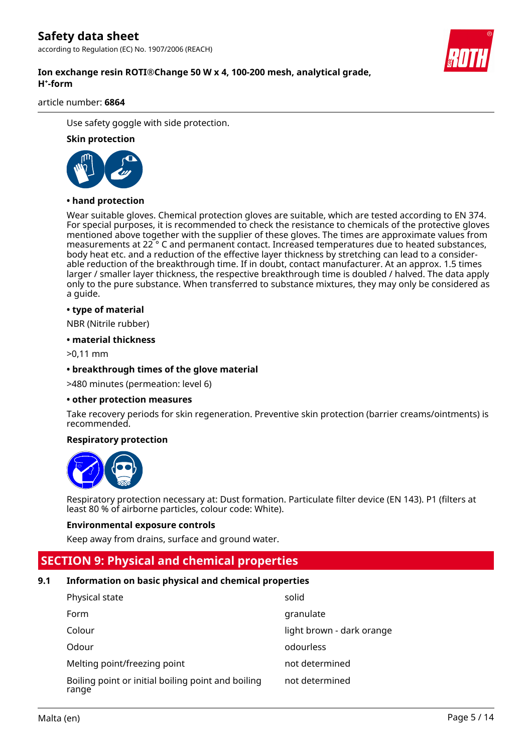according to Regulation (EC) No. 1907/2006 (REACH)

#### **Ion exchange resin ROTI®Change 50 W x 4, 100-200 mesh, analytical grade, H⁺-form**

article number: **6864**

Use safety goggle with side protection.

#### **Skin protection**



#### **• hand protection**

Wear suitable gloves. Chemical protection gloves are suitable, which are tested according to EN 374. For special purposes, it is recommended to check the resistance to chemicals of the protective gloves mentioned above together with the supplier of these gloves. The times are approximate values from measurements at 22 ° C and permanent contact. Increased temperatures due to heated substances, body heat etc. and a reduction of the effective layer thickness by stretching can lead to a considerable reduction of the breakthrough time. If in doubt, contact manufacturer. At an approx. 1.5 times larger / smaller layer thickness, the respective breakthrough time is doubled / halved. The data apply only to the pure substance. When transferred to substance mixtures, they may only be considered as a guide.

#### **• type of material**

NBR (Nitrile rubber)

#### **• material thickness**

>0,11 mm

#### **• breakthrough times of the glove material**

>480 minutes (permeation: level 6)

#### **• other protection measures**

Take recovery periods for skin regeneration. Preventive skin protection (barrier creams/ointments) is recommended.

#### **Respiratory protection**



Respiratory protection necessary at: Dust formation. Particulate filter device (EN 143). P1 (filters at least 80 % of airborne particles, colour code: White).

#### **Environmental exposure controls**

Keep away from drains, surface and ground water.

### **SECTION 9: Physical and chemical properties**

#### **9.1 Information on basic physical and chemical properties**

| Physical state                                              | solid                     |
|-------------------------------------------------------------|---------------------------|
| Form                                                        | granulate                 |
| Colour                                                      | light brown - dark orange |
| Odour                                                       | odourless                 |
| Melting point/freezing point                                | not determined            |
| Boiling point or initial boiling point and boiling<br>range | not determined            |

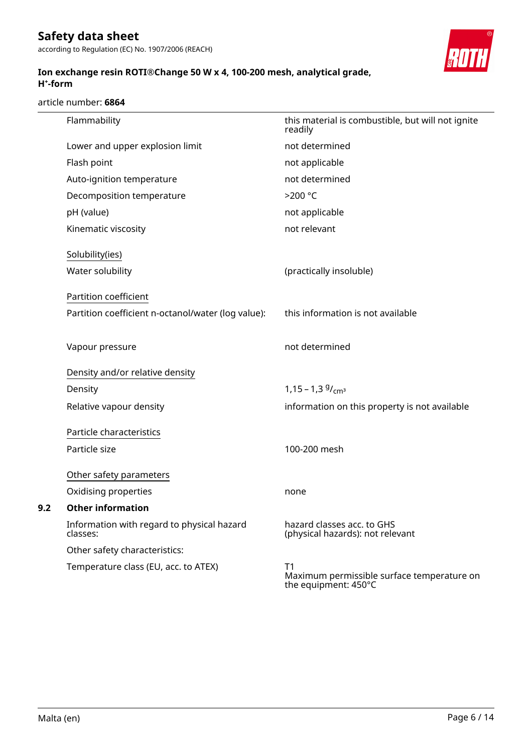according to Regulation (EC) No. 1907/2006 (REACH)

#### **Ion exchange resin ROTI®Change 50 W x 4, 100-200 mesh, analytical grade, H⁺-form**

article number: **6864**

|     | Flammability                                           | this material is combustible, but will not ignite<br>readily             |
|-----|--------------------------------------------------------|--------------------------------------------------------------------------|
|     | Lower and upper explosion limit                        | not determined                                                           |
|     | Flash point                                            | not applicable                                                           |
|     | Auto-ignition temperature                              | not determined                                                           |
|     | Decomposition temperature                              | >200 °C                                                                  |
|     | pH (value)                                             | not applicable                                                           |
|     | Kinematic viscosity                                    | not relevant                                                             |
|     | Solubility(ies)                                        |                                                                          |
|     | Water solubility                                       | (practically insoluble)                                                  |
|     | Partition coefficient                                  |                                                                          |
|     | Partition coefficient n-octanol/water (log value):     | this information is not available                                        |
|     | Vapour pressure                                        | not determined                                                           |
|     | Density and/or relative density                        |                                                                          |
|     | Density                                                | $1,15 - 1,39$ / <sub>cm<sup>3</sup></sub>                                |
|     | Relative vapour density                                | information on this property is not available                            |
|     | Particle characteristics                               |                                                                          |
|     | Particle size                                          | 100-200 mesh                                                             |
|     | Other safety parameters                                |                                                                          |
|     | Oxidising properties                                   | none                                                                     |
| 9.2 | <b>Other information</b>                               |                                                                          |
|     | Information with regard to physical hazard<br>classes: | hazard classes acc. to GHS<br>(physical hazards): not relevant           |
|     | Other safety characteristics:                          |                                                                          |
|     | Temperature class (EU, acc. to ATEX)                   | T1<br>Maximum permissible surface temperature on<br>the equipment: 450°C |
|     |                                                        |                                                                          |

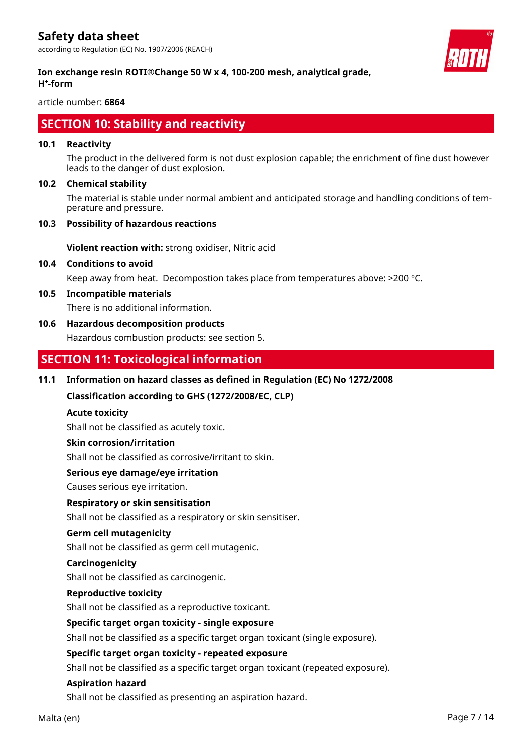

#### **Ion exchange resin ROTI®Change 50 W x 4, 100-200 mesh, analytical grade, H⁺-form**

article number: **6864**

### **SECTION 10: Stability and reactivity**

#### **10.1 Reactivity**

The product in the delivered form is not dust explosion capable; the enrichment of fine dust however leads to the danger of dust explosion.

#### **10.2 Chemical stability**

The material is stable under normal ambient and anticipated storage and handling conditions of temperature and pressure.

#### **10.3 Possibility of hazardous reactions**

**Violent reaction with:** strong oxidiser, Nitric acid

#### **10.4 Conditions to avoid**

Keep away from heat. Decompostion takes place from temperatures above: >200 °C.

#### **10.5 Incompatible materials**

There is no additional information.

#### **10.6 Hazardous decomposition products**

Hazardous combustion products: see section 5.

### **SECTION 11: Toxicological information**

#### **11.1 Information on hazard classes as defined in Regulation (EC) No 1272/2008**

**Classification according to GHS (1272/2008/EC, CLP)**

#### **Acute toxicity**

Shall not be classified as acutely toxic.

#### **Skin corrosion/irritation**

Shall not be classified as corrosive/irritant to skin.

#### **Serious eye damage/eye irritation**

Causes serious eye irritation.

#### **Respiratory or skin sensitisation**

Shall not be classified as a respiratory or skin sensitiser.

#### **Germ cell mutagenicity**

Shall not be classified as germ cell mutagenic.

#### **Carcinogenicity**

Shall not be classified as carcinogenic.

#### **Reproductive toxicity**

Shall not be classified as a reproductive toxicant.

#### **Specific target organ toxicity - single exposure**

Shall not be classified as a specific target organ toxicant (single exposure).

#### **Specific target organ toxicity - repeated exposure**

Shall not be classified as a specific target organ toxicant (repeated exposure).

#### **Aspiration hazard**

Shall not be classified as presenting an aspiration hazard.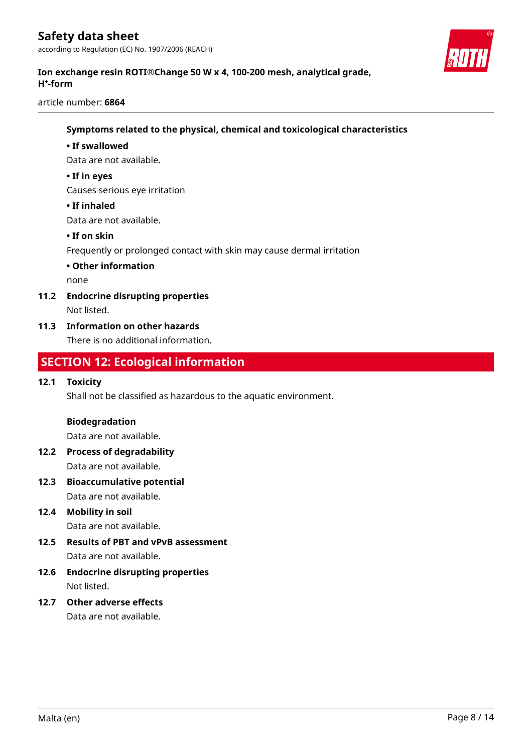

### **Ion exchange resin ROTI®Change 50 W x 4, 100-200 mesh, analytical grade, H⁺-form**

article number: **6864**

#### **Symptoms related to the physical, chemical and toxicological characteristics**

#### **• If swallowed**

Data are not available.

#### **• If in eyes**

Causes serious eye irritation

#### **• If inhaled**

Data are not available.

#### **• If on skin**

Frequently or prolonged contact with skin may cause dermal irritation

**• Other information**

none

#### **11.2 Endocrine disrupting properties**

Not listed.

#### **11.3 Information on other hazards**

There is no additional information.

### **SECTION 12: Ecological information**

#### **12.1 Toxicity**

Shall not be classified as hazardous to the aquatic environment.

#### **Biodegradation**

Data are not available.

- **12.2 Process of degradability** Data are not available.
- **12.3 Bioaccumulative potential** Data are not available.
- **12.4 Mobility in soil**

Data are not available.

- **12.5 Results of PBT and vPvB assessment** Data are not available.
- **12.6 Endocrine disrupting properties** Not listed.
- **12.7 Other adverse effects** Data are not available.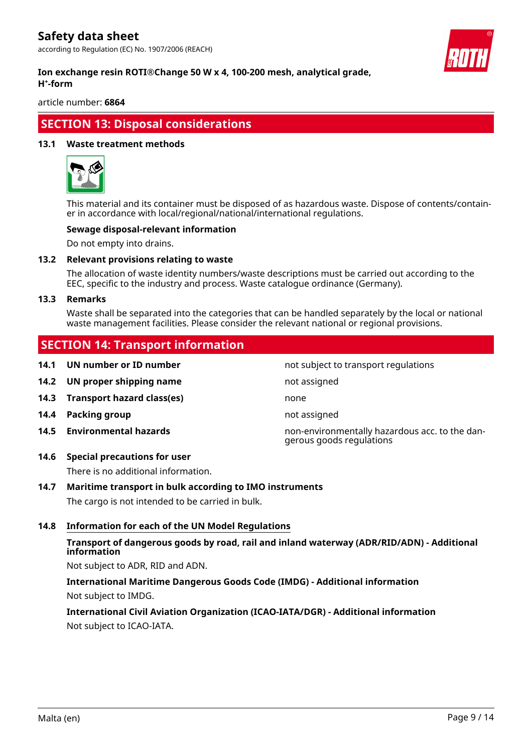according to Regulation (EC) No. 1907/2006 (REACH)



#### **Ion exchange resin ROTI®Change 50 W x 4, 100-200 mesh, analytical grade, H⁺-form**

article number: **6864**

### **SECTION 13: Disposal considerations**

#### **13.1 Waste treatment methods**



This material and its container must be disposed of as hazardous waste. Dispose of contents/container in accordance with local/regional/national/international regulations.

#### **Sewage disposal-relevant information**

Do not empty into drains.

#### **13.2 Relevant provisions relating to waste**

The allocation of waste identity numbers/waste descriptions must be carried out according to the EEC, specific to the industry and process. Waste catalogue ordinance (Germany).

#### **13.3 Remarks**

Waste shall be separated into the categories that can be handled separately by the local or national waste management facilities. Please consider the relevant national or regional provisions.

### **SECTION 14: Transport information**

- **14.1 UN number or ID number not subject to transport regulations**
- **14.2 UN proper shipping name** not assigned
- **14.3 Transport hazard class(es)** none
- **14.4 Packing group not assigned**
- 
- **14.6 Special precautions for user**

There is no additional information.

## **14.7 Maritime transport in bulk according to IMO instruments**

The cargo is not intended to be carried in bulk.

#### **14.8 Information for each of the UN Model Regulations**

#### **Transport of dangerous goods by road, rail and inland waterway (ADR/RID/ADN) - Additional information**

Not subject to ADR, RID and ADN.

### **International Maritime Dangerous Goods Code (IMDG) - Additional information** Not subject to IMDG.

### **International Civil Aviation Organization (ICAO-IATA/DGR) - Additional information** Not subject to ICAO-IATA.

**14.5 Environmental hazards** non-environmentally hazardous acc. to the dangerous goods regulations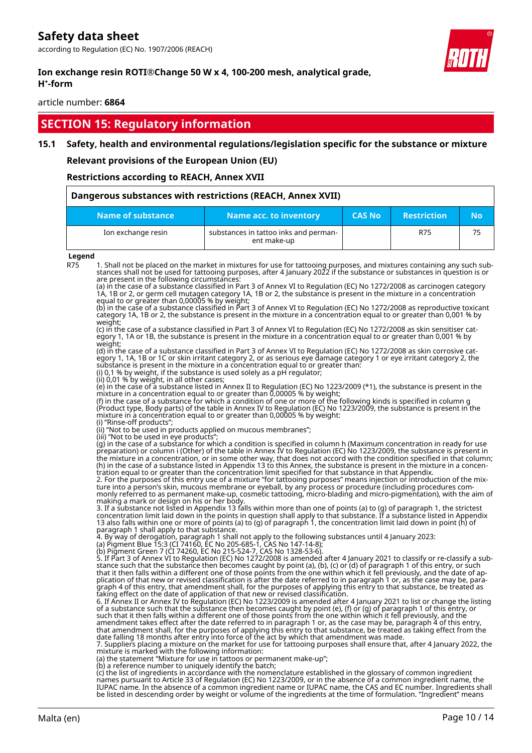according to Regulation (EC) No. 1907/2006 (REACH)



#### **Ion exchange resin ROTI®Change 50 W x 4, 100-200 mesh, analytical grade, H⁺-form**

article number: **6864**

### **SECTION 15: Regulatory information**

#### **15.1 Safety, health and environmental regulations/legislation specific for the substance or mixture**

**Relevant provisions of the European Union (EU)**

#### **Restrictions according to REACH, Annex XVII**

| Dangerous substances with restrictions (REACH, Annex XVII) |                                                      |               |                    |           |
|------------------------------------------------------------|------------------------------------------------------|---------------|--------------------|-----------|
| Name of substance                                          | Name acc. to inventory                               | <b>CAS No</b> | <b>Restriction</b> | <b>No</b> |
| Ion exchange resin                                         | substances in tattoo inks and perman-<br>ent make-up |               | R75                | 75        |

#### **Legend**

R75 1. Shall not be placed on the market in mixtures for use for tattooing purposes, and mixtures containing any such substances shall not be used for tattooing purposes, after 4 January 2022 if the substance or substances in question is or are present in the following circumstances:

(a) in the case of a substance classified in Part 3 of Annex VI to Regulation (EC) No 1272/2008 as carcinogen category 1A, 1B or 2, or germ cell mutagen category 1A, 1B or 2, the substance is present in the mixture in a concentration equal to or greater than 0,00005 % by weight;

(b) in the case of a substance classified in Part 3 of Annex VI to Regulation (EC) No 1272/2008 as reproductive toxicant category 1A, 1B or 2, the substance is present in the mixture in a concentration equal to or greater than 0,001 % by weight;<br>(c) in the case of a substance classified in Part 3 of Annex VI to Regulation (EC) No 1272/2008 as skin sensitiser cat-

(c) in the case of a substance classified in Part 3 of Annex VI to Regulation (EC) No 1272/2008 as skin sensitiser category 1, 1A or 1B, the substance is present in the mixture in a concentration equal to or greater than 0,001 % by weight;

(d) in the case of a substance classified in Part 3 of Annex VI to Regulation (EC) No 1272/2008 as skin corrosive category 1, 1A, 1B or 1C or skin irritant category 2, or as serious eye damage category 1 or eye irritant category 2, the substance is present in the mixture in a concentration equal to or greater than: (i) 0,1 % by weight, if the substance is used solely as a pH regulator;

(ii) 0,01 % by weight, in all other cases;

(e) in the case of a substance listed in Annex II to Regulation (EC) No 1223/2009 (\*1), the substance is present in the mixture in a concentration equal to or greater than 0,00005 % by weight;

(f) in the case of a substance for which a condition of one or more of the following kinds is specified in column g (Product type, Body parts) of the table in Annex IV to Regulation (EC) No 1223/2009, the substance is present in the mixture in a concentration equal to or greater than 0,00005 % by weight:

(i) "Rinse-off products"

(ii) "Not to be used in products applied on mucous membranes"; (iii) "Not to be used in eye products";

(g) in the case of a substance for which a condition is specified in column h (Maximum concentration in ready for use preparation) or column i (Other) of the table in Annex IV to Regulation (EC) No 1223/2009, the substance is present in the mixture in a concentration, or in some other way, that does not accord with the condition specified in that column; (h) in the case of a substance listed in Appendix 13 to this Annex, the substance is present in the mixture in a concentration equal to or greater than the concentration limit specified for that substance in that Appendix.

2. For the purposes of this entry use of a mixture "for tattooing purposes" means injection or introduction of the mixture into a person's skin, mucous membrane or eyeball, by any process or procedure (including procedures commonly referred to as permanent make-up, cosmetic tattooing, micro-blading and micro-pigmentation), with the aim of making a mark or design on his or her body.

3. If a substance not listed in Appendix 13 falls within more than one of points (a) to (g) of paragraph 1, the strictest concentration limit laid down in the points in question shall apply to that substance. If a substance listed in Appendix<br>13 also falls within one or more of points (a) to (g) of paragraph 1, the concentration limit laid do paragraph 1 shall apply to that substance.

4. By way of derogation, paragraph 1 shall not apply to the following substances until 4 January 2023:

| (a) Pigment Blue 15:3 (CI 74160, EC No 205-685-1, CAS No 147-14-8); |
|---------------------------------------------------------------------|
| (b) Diamont Cross 7 (CI 74260 FC No. 215 F24.7 CAC No. 1220 F2.6)   |

(b) Pigment Green 7 (CI 74260, EC No 215-524-7, CAS No 1328-53-6). 5. If Part 3 of Annex VI to Regulation (EC) No 1272/2008 is amended after 4 January 2021 to classify or re-classify a substance such that the substance then becomes caught by point (a), (b), (c) or (d) of paragraph 1 of this entry, or such that it then falls within a different one of those points from the one within which it fell previously, and the date of application of that new or revised classification is after the date referred to in paragraph 1 or, as the case may be, paragraph 4 of this entry, that amendment shall, for the purposes of applying this entry to that substance, be treated as taking effect on the date of application of that new or revised classification.

6. If Annex II or Annex IV to Regulation (EC) No 1223/2009 is amended after 4 January 2021 to list or change the listing of a substance such that the substance then becomes caught by point (e), (f) or (g) of paragraph 1 of this entry, or such that it then falls within a different one of those points from the one within which it fell previously, and the amendment takes effect after the date referred to in paragraph 1 or, as the case may be, paragraph 4 of this entry, that amendment shall, for the purposes of applying this entry to that substance, be treated as taking effect from the date falling 18 months after entry into force of the act by which that amendment was made.

7. Suppliers placing a mixture on the market for use for tattooing purposes shall ensure that, after 4 January 2022, the mixture is marked with the following information:

(a) the statement "Mixture for use in tattoos or permanent make-up";

(b) a reference number to uniquely identify the batch; (c) the list of ingredients in accordance with the nomenclature established in the glossary of common ingredient names pursuant to Article 33 of Regulation (EC) No 1223/2009, or in the absence of a common ingredient name, the IUPAC name. In the absence of a common ingredient name or IUPAC name, the CAS and EC number. Ingredients shall be listed in descending order by weight or volume of the ingredients at the time of formulation. "Ingredient" means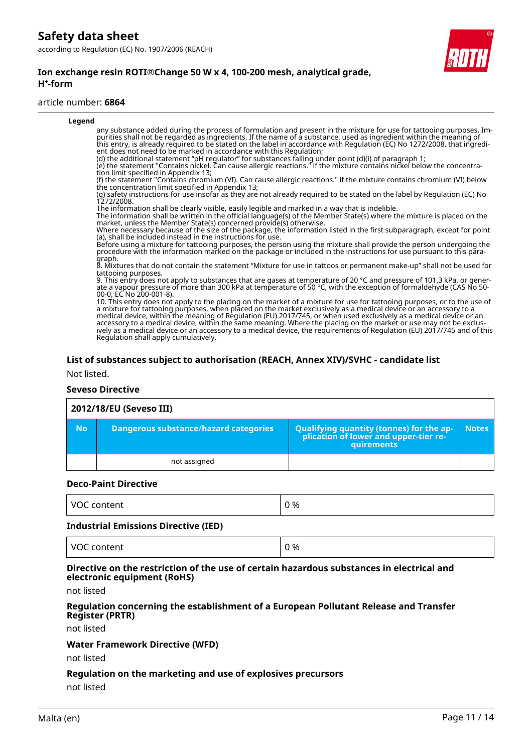#### **Ion exchange resin ROTI®Change 50 W x 4, 100-200 mesh, analytical grade, H⁺-form**

#### article number: **6864**

| Legend |                                                                                                                                                                                                                                                                                                                                                                                                                                                                                                                                                                                                                                                            |
|--------|------------------------------------------------------------------------------------------------------------------------------------------------------------------------------------------------------------------------------------------------------------------------------------------------------------------------------------------------------------------------------------------------------------------------------------------------------------------------------------------------------------------------------------------------------------------------------------------------------------------------------------------------------------|
|        | any substance added during the process of formulation and present in the mixture for use for tattooing purposes. Im-<br>purities shall not be regarded as ingredients. If the name of a substance, used as ingredient within the meaning of<br>this entry, is already required to be stated on the label in accordance with Regulation (EC) No 1272/2008, that ingredi-<br>ent does not need to be marked in accordance with this Regulation;                                                                                                                                                                                                              |
|        | (d) the additional statement "pH regulator" for substances falling under point (d)(i) of paragraph 1;<br>(e) the statement "Contains nickel. Can cause allergic reactions." if the mixture contains nickel below the concentra-<br>tion limit specified in Appendix 13;                                                                                                                                                                                                                                                                                                                                                                                    |
|        | (f) the statement "Contains chromium (VI). Can cause allergic reactions." if the mixture contains chromium (VI) below<br>the concentration limit specified in Appendix 13;                                                                                                                                                                                                                                                                                                                                                                                                                                                                                 |
|        | (g) safety instructions for use insofar as they are not already required to be stated on the label by Regulation (EC) No<br>1272/2008.                                                                                                                                                                                                                                                                                                                                                                                                                                                                                                                     |
|        | The information shall be clearly visible, easily legible and marked in a way that is indelible.<br>The information shall be written in the official language(s) of the Member State(s) where the mixture is placed on the<br>market, unless the Member State(s) concerned provide(s) otherwise.                                                                                                                                                                                                                                                                                                                                                            |
|        | Where necessary because of the size of the package, the information listed in the first subparagraph, except for point<br>(a), shall be included instead in the instructions for use.                                                                                                                                                                                                                                                                                                                                                                                                                                                                      |
|        | Before using a mixture for tattooing purposes, the person using the mixture shall provide the person undergoing the<br>procedure with the information marked on the package or included in the instructions for use pursuant to t<br>graph.                                                                                                                                                                                                                                                                                                                                                                                                                |
|        | 8. Mixtures that do not contain the statement "Mixture for use in tattoos or permanent make-up" shall not be used for<br>tattooing purposes.                                                                                                                                                                                                                                                                                                                                                                                                                                                                                                               |
|        | 9. This entry does not apply to substances that are gases at temperature of 20 $^{\circ}$ C and pressure of 101,3 kPa, or gener-<br>ate a vapour pressure of more than 300 kPa at temperature of 50 °C, with the exception of formaldehyde (CAS No 50-<br>00-0, EC No 200-001-8).                                                                                                                                                                                                                                                                                                                                                                          |
|        | 10. This entry does not apply to the placing on the market of a mixture for use for tattooing purposes, or to the use of<br>a mixture for tattooing purposes, when placed on the market exclusively as a medical device or an accessory to a<br>medical device, within the meaning of Regulation (EU) 2017/745, or when used exclusively as a medical device or an<br>accessory to a medical device, within the same meaning. Where the placing on the market or use may not be exclus-<br>ively as a medical device or an accessory to a medical device, the requirements of Regulation (EU) 2017/745 and of this<br>Regulation shall apply cumulatively. |
|        |                                                                                                                                                                                                                                                                                                                                                                                                                                                                                                                                                                                                                                                            |

#### **List of substances subject to authorisation (REACH, Annex XIV)/SVHC - candidate list**

Not listed.

#### **Seveso Directive**

#### **2012/18/EU (Seveso III) No Dangerous substance/hazard categories Qualifying quantity (tonnes) for the application of lower and upper-tier requirements Notes** not assigned

#### **Deco-Paint Directive**

| $\cdots$<br>$-$<br>M<br>м<br>itent | 0 % |
|------------------------------------|-----|
|------------------------------------|-----|

#### **Industrial Emissions Directive (IED)**

| L VOC<br>0 %<br>VOC content |  |
|-----------------------------|--|
|-----------------------------|--|

#### **Directive on the restriction of the use of certain hazardous substances in electrical and electronic equipment (RoHS)**

not listed

#### **Regulation concerning the establishment of a European Pollutant Release and Transfer Register (PRTR)**

not listed

#### **Water Framework Directive (WFD)**

not listed

#### **Regulation on the marketing and use of explosives precursors**

not listed

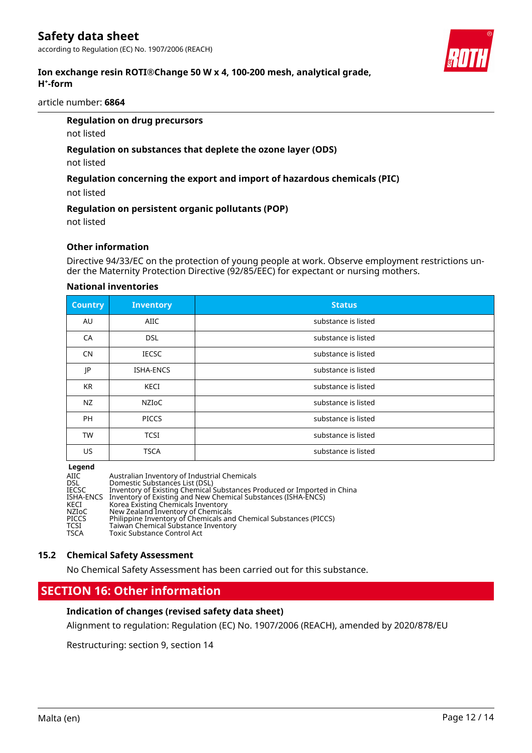#### **Ion exchange resin ROTI®Change 50 W x 4, 100-200 mesh, analytical grade, H⁺-form**

article number: **6864**

#### **Regulation on drug precursors**

not listed

#### **Regulation on substances that deplete the ozone layer (ODS)**

not listed

#### **Regulation concerning the export and import of hazardous chemicals (PIC)**

not listed

#### **Regulation on persistent organic pollutants (POP)**

not listed

#### **Other information**

Directive 94/33/EC on the protection of young people at work. Observe employment restrictions under the Maternity Protection Directive (92/85/EEC) for expectant or nursing mothers.

#### **National inventories**

| <b>Country</b> | <b>Inventory</b> | <b>Status</b>       |
|----------------|------------------|---------------------|
| AU             | <b>AIIC</b>      | substance is listed |
| CA             | <b>DSL</b>       | substance is listed |
| <b>CN</b>      | <b>IECSC</b>     | substance is listed |
| JP             | <b>ISHA-ENCS</b> | substance is listed |
| <b>KR</b>      | KECI             | substance is listed |
| NZ             | <b>NZIOC</b>     | substance is listed |
| <b>PH</b>      | <b>PICCS</b>     | substance is listed |
| <b>TW</b>      | <b>TCSI</b>      | substance is listed |
| US             | <b>TSCA</b>      | substance is listed |

#### **Legend**

| Australian Inventory of Industrial Chemicals<br>AIIC<br>Domestic Substances List (DSL)<br><b>DSL</b><br>Inventory of Existing Chemical Substances Produced or Imported in China<br>IECSC<br>Inventory of Existing and New Chemical Substances (ISHA-ENCS)<br>ISHA-ENCS<br>Korea Existing Chemicals Inventory<br>KECI<br>New Zealand Inventory of Chemicals<br>NZIoC<br>Philippine Inventory of Chemicals and Chemical Substances (PICCS)<br><b>PICCS</b><br>TCSI |  |
|------------------------------------------------------------------------------------------------------------------------------------------------------------------------------------------------------------------------------------------------------------------------------------------------------------------------------------------------------------------------------------------------------------------------------------------------------------------|--|
| Taiwan Chemical Substance Inventory<br><b>TSCA</b><br>Toxic Substance Control Act                                                                                                                                                                                                                                                                                                                                                                                |  |

#### **15.2 Chemical Safety Assessment**

No Chemical Safety Assessment has been carried out for this substance.

### **SECTION 16: Other information**

#### **Indication of changes (revised safety data sheet)**

Alignment to regulation: Regulation (EC) No. 1907/2006 (REACH), amended by 2020/878/EU

Restructuring: section 9, section 14

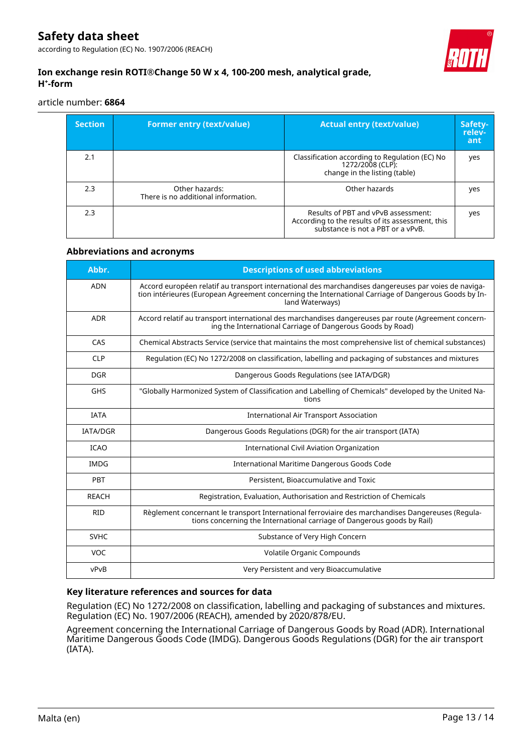according to Regulation (EC) No. 1907/2006 (REACH)



#### **Ion exchange resin ROTI®Change 50 W x 4, 100-200 mesh, analytical grade, H⁺-form**

article number: **6864**

| <b>Section</b> | <b>Former entry (text/value)</b>                      | <b>Actual entry (text/value)</b>                                                                                             | Safety-<br>relev-<br>ant |
|----------------|-------------------------------------------------------|------------------------------------------------------------------------------------------------------------------------------|--------------------------|
| 2.1            |                                                       | Classification according to Regulation (EC) No<br>1272/2008 (CLP):<br>change in the listing (table)                          | yes                      |
| 2.3            | Other hazards:<br>There is no additional information. | Other hazards                                                                                                                | yes                      |
| 2.3            |                                                       | Results of PBT and vPvB assessment:<br>According to the results of its assessment, this<br>substance is not a PBT or a vPvB. | yes                      |

#### **Abbreviations and acronyms**

| Abbr.           | <b>Descriptions of used abbreviations</b>                                                                                                                                                                                       |
|-----------------|---------------------------------------------------------------------------------------------------------------------------------------------------------------------------------------------------------------------------------|
| <b>ADN</b>      | Accord européen relatif au transport international des marchandises dangereuses par voies de naviga-<br>tion intérieures (European Agreement concerning the International Carriage of Dangerous Goods by In-<br>land Waterways) |
| <b>ADR</b>      | Accord relatif au transport international des marchandises dangereuses par route (Agreement concern-<br>ing the International Carriage of Dangerous Goods by Road)                                                              |
| CAS             | Chemical Abstracts Service (service that maintains the most comprehensive list of chemical substances)                                                                                                                          |
| <b>CLP</b>      | Regulation (EC) No 1272/2008 on classification, labelling and packaging of substances and mixtures                                                                                                                              |
| <b>DGR</b>      | Dangerous Goods Regulations (see IATA/DGR)                                                                                                                                                                                      |
| <b>GHS</b>      | "Globally Harmonized System of Classification and Labelling of Chemicals" developed by the United Na-<br>tions                                                                                                                  |
| <b>IATA</b>     | <b>International Air Transport Association</b>                                                                                                                                                                                  |
| <b>IATA/DGR</b> | Dangerous Goods Regulations (DGR) for the air transport (IATA)                                                                                                                                                                  |
| <b>ICAO</b>     | International Civil Aviation Organization                                                                                                                                                                                       |
| <b>IMDG</b>     | International Maritime Dangerous Goods Code                                                                                                                                                                                     |
| PBT             | Persistent, Bioaccumulative and Toxic                                                                                                                                                                                           |
| <b>REACH</b>    | Registration, Evaluation, Authorisation and Restriction of Chemicals                                                                                                                                                            |
| <b>RID</b>      | Règlement concernant le transport International ferroviaire des marchandises Dangereuses (Regula-<br>tions concerning the International carriage of Dangerous goods by Rail)                                                    |
| <b>SVHC</b>     | Substance of Very High Concern                                                                                                                                                                                                  |
| VOC             | Volatile Organic Compounds                                                                                                                                                                                                      |
| vPvB            | Very Persistent and very Bioaccumulative                                                                                                                                                                                        |

#### **Key literature references and sources for data**

Regulation (EC) No 1272/2008 on classification, labelling and packaging of substances and mixtures. Regulation (EC) No. 1907/2006 (REACH), amended by 2020/878/EU.

Agreement concerning the International Carriage of Dangerous Goods by Road (ADR). International Maritime Dangerous Goods Code (IMDG). Dangerous Goods Regulations (DGR) for the air transport (IATA).